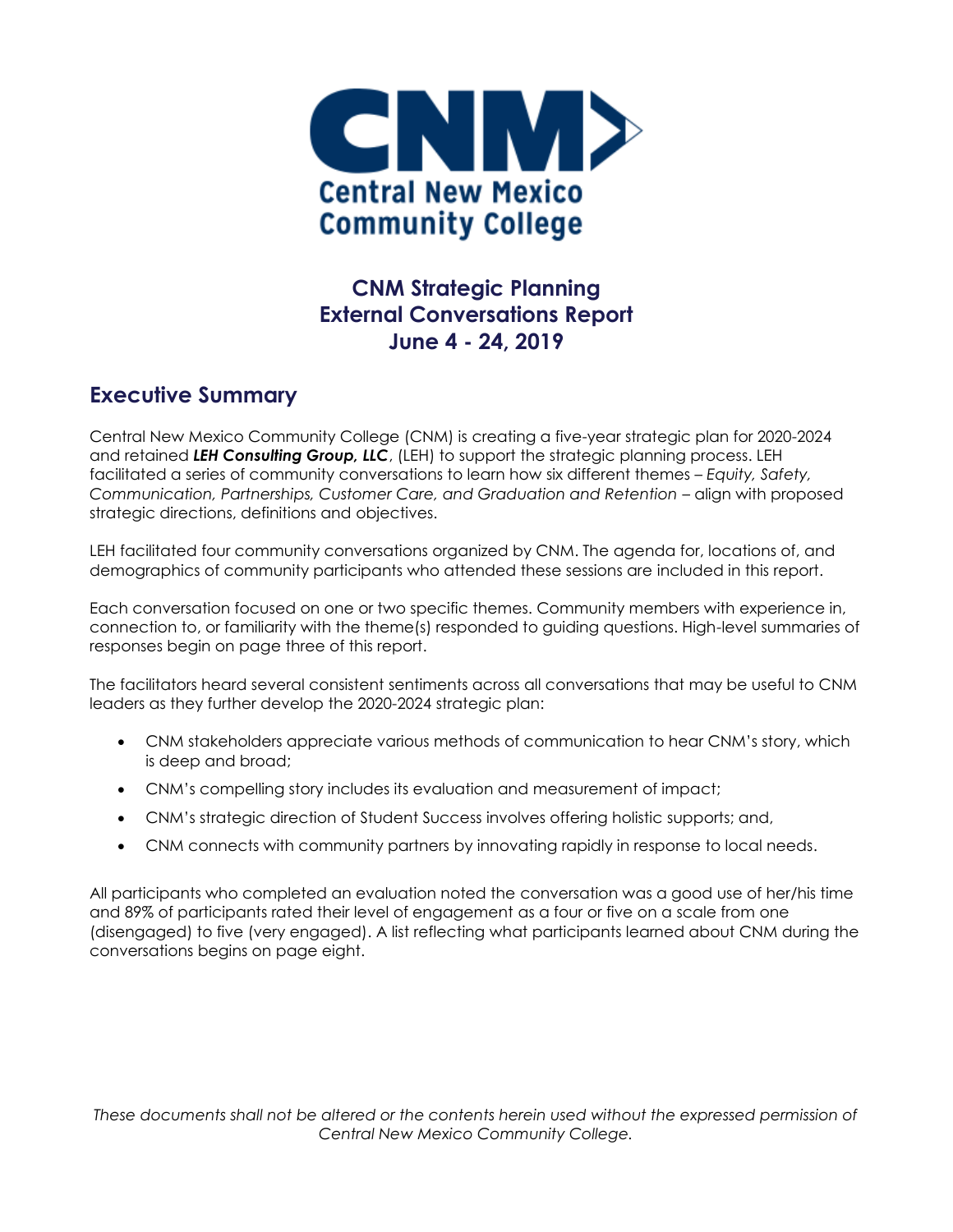

# **CNM Strategic Planning External Conversations Report June 4 - 24, 2019**

#### **Executive Summary**

Central New Mexico Community College (CNM) is creating a five-year strategic plan for 2020-2024 and retained *LEH Consulting Group, LLC*, (LEH) to support the strategic planning process. LEH facilitated a series of community conversations to learn how six different themes – *Equity, Safety, Communication, Partnerships, Customer Care, and Graduation and Retention* – align with proposed strategic directions, definitions and objectives.

LEH facilitated four community conversations organized by CNM. The agenda for, locations of, and demographics of community participants who attended these sessions are included in this report.

Each conversation focused on one or two specific themes. Community members with experience in, connection to, or familiarity with the theme(s) responded to guiding questions. High-level summaries of responses begin on page three of this report.

The facilitators heard several consistent sentiments across all conversations that may be useful to CNM leaders as they further develop the 2020-2024 strategic plan:

- CNM stakeholders appreciate various methods of communication to hear CNM's story, which is deep and broad;
- CNM's compelling story includes its evaluation and measurement of impact;
- CNM's strategic direction of Student Success involves offering holistic supports; and,
- CNM connects with community partners by innovating rapidly in response to local needs.

All participants who completed an evaluation noted the conversation was a good use of her/his time and 89% of participants rated their level of engagement as a four or five on a scale from one (disengaged) to five (very engaged). A list reflecting what participants learned about CNM during the conversations begins on page eight.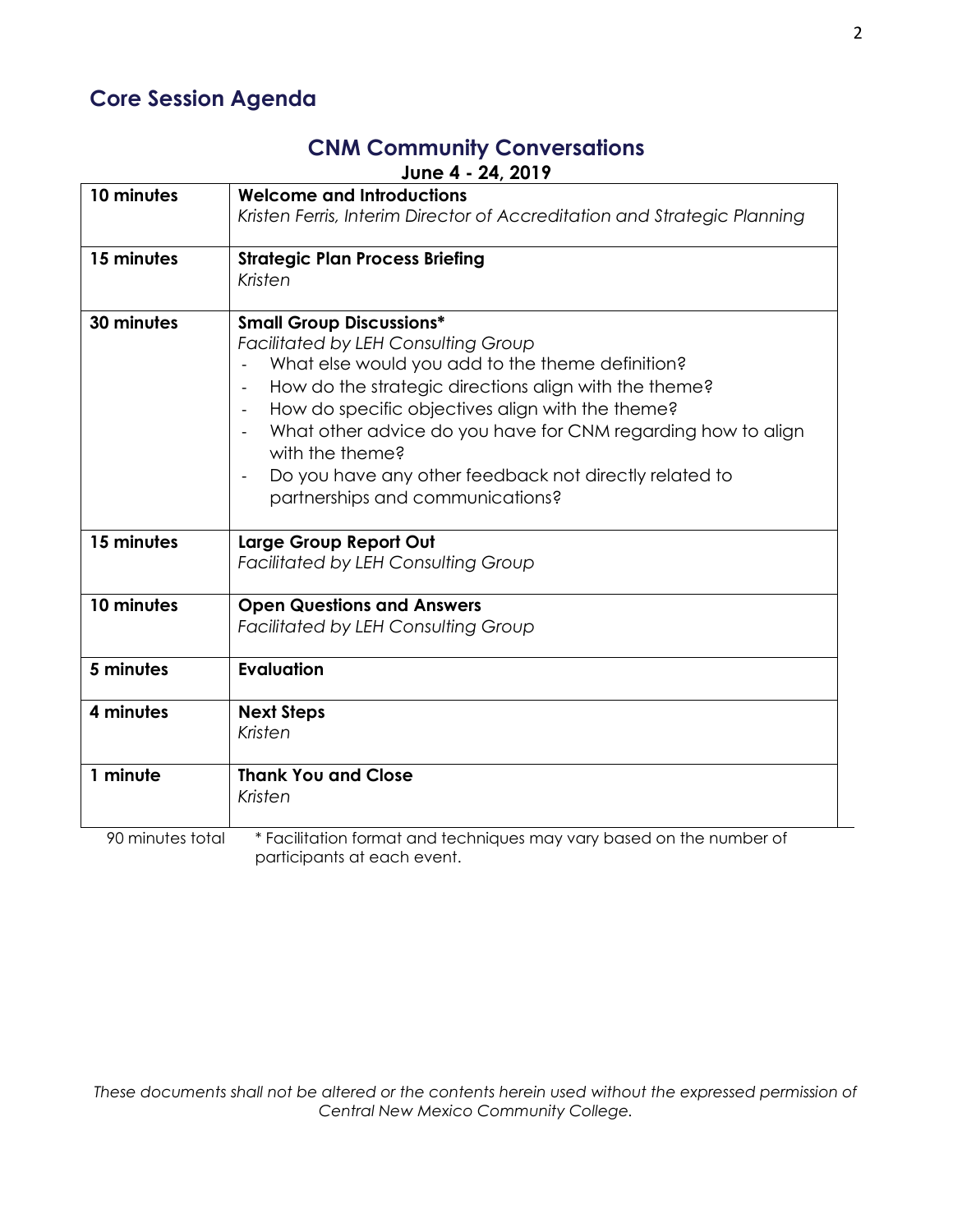# **Core Session Agenda**

# **CNM Community Conversations**

**June 4 - 24, 2019**

| 10 minutes       | <b>Welcome and Introductions</b><br>Kristen Ferris, Interim Director of Accreditation and Strategic Planning |  |  |  |  |
|------------------|--------------------------------------------------------------------------------------------------------------|--|--|--|--|
|                  |                                                                                                              |  |  |  |  |
| 15 minutes       | <b>Strategic Plan Process Briefing</b>                                                                       |  |  |  |  |
|                  | Kristen                                                                                                      |  |  |  |  |
| 30 minutes       | <b>Small Group Discussions*</b>                                                                              |  |  |  |  |
|                  | <b>Facilitated by LEH Consulting Group</b>                                                                   |  |  |  |  |
|                  | What else would you add to the theme definition?                                                             |  |  |  |  |
|                  | How do the strategic directions align with the theme?<br>$\overline{\phantom{a}}$                            |  |  |  |  |
|                  | How do specific objectives align with the theme?                                                             |  |  |  |  |
|                  | What other advice do you have for CNM regarding how to align                                                 |  |  |  |  |
|                  | with the theme?                                                                                              |  |  |  |  |
|                  | Do you have any other feedback not directly related to<br>$\overline{\phantom{a}}$                           |  |  |  |  |
|                  | partnerships and communications?                                                                             |  |  |  |  |
|                  |                                                                                                              |  |  |  |  |
| 15 minutes       | Large Group Report Out                                                                                       |  |  |  |  |
|                  | <b>Facilitated by LEH Consulting Group</b>                                                                   |  |  |  |  |
|                  |                                                                                                              |  |  |  |  |
| 10 minutes       | <b>Open Questions and Answers</b>                                                                            |  |  |  |  |
|                  | <b>Facilitated by LEH Consulting Group</b>                                                                   |  |  |  |  |
| 5 minutes        | <b>Evaluation</b>                                                                                            |  |  |  |  |
|                  |                                                                                                              |  |  |  |  |
| 4 minutes        | <b>Next Steps</b>                                                                                            |  |  |  |  |
|                  | Kristen                                                                                                      |  |  |  |  |
|                  |                                                                                                              |  |  |  |  |
| 1 minute         | <b>Thank You and Close</b>                                                                                   |  |  |  |  |
|                  | Kristen                                                                                                      |  |  |  |  |
| 90 minutes total | * Facilitation format and techniques may vary based on the number of                                         |  |  |  |  |
|                  | participants at each event.                                                                                  |  |  |  |  |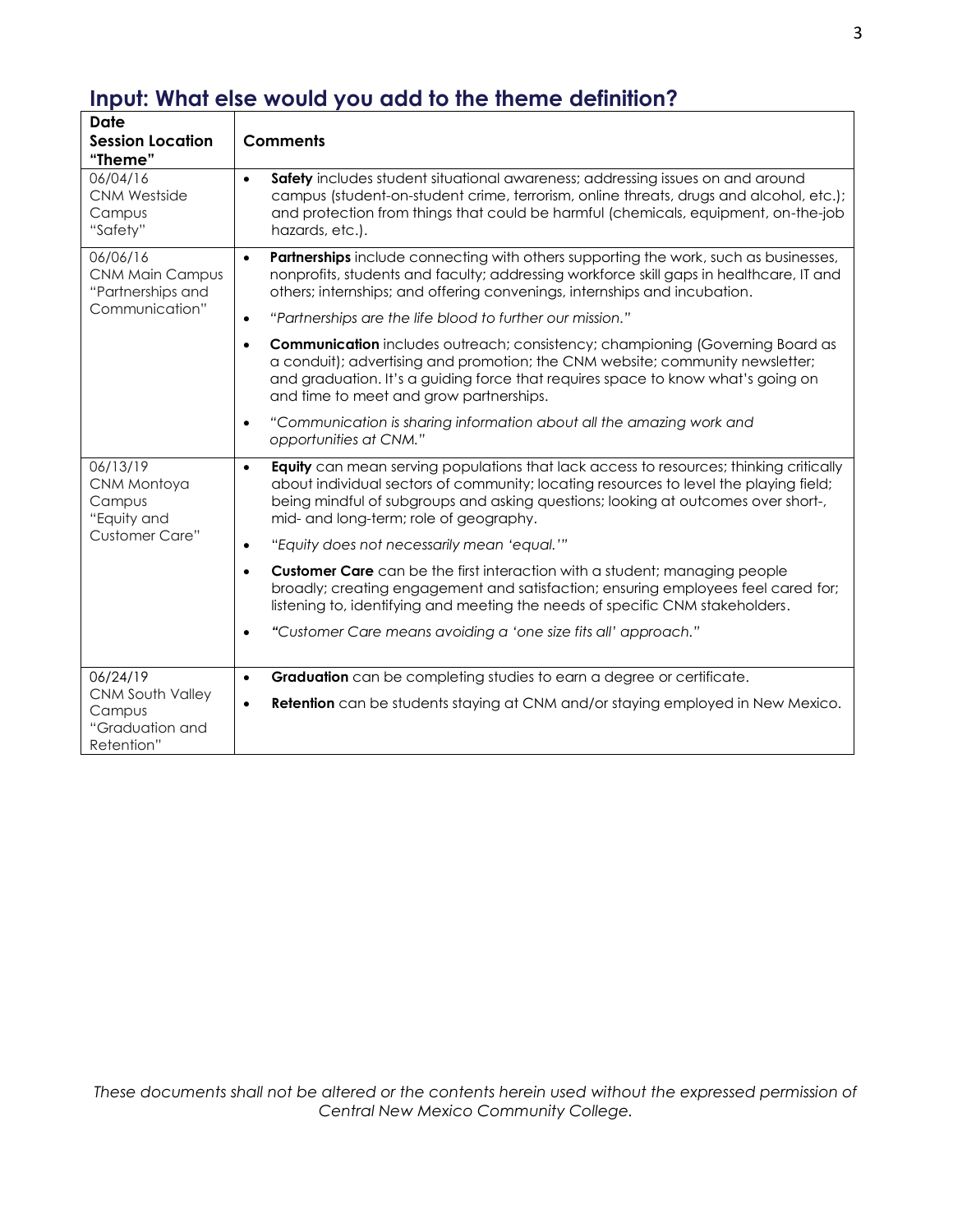| <b>Date</b><br><b>Session Location</b><br>"Theme"                         | <b>Comments</b>                                                                                                                                                                                                                                                                                                                    |
|---------------------------------------------------------------------------|------------------------------------------------------------------------------------------------------------------------------------------------------------------------------------------------------------------------------------------------------------------------------------------------------------------------------------|
| 06/04/16<br><b>CNM Westside</b><br>Campus<br>"Safety"                     | Safety includes student situational awareness; addressing issues on and around<br>$\bullet$<br>campus (student-on-student crime, terrorism, online threats, drugs and alcohol, etc.);<br>and protection from things that could be harmful (chemicals, equipment, on-the-job<br>hazards, etc.).                                     |
| 06/06/16<br><b>CNM Main Campus</b><br>"Partnerships and                   | Partnerships include connecting with others supporting the work, such as businesses,<br>$\bullet$<br>nonprofits, students and faculty; addressing workforce skill gaps in healthcare, IT and<br>others; internships; and offering convenings, internships and incubation.                                                          |
| Communication"                                                            | "Partnerships are the life blood to further our mission."<br>$\bullet$                                                                                                                                                                                                                                                             |
|                                                                           | <b>Communication</b> includes outreach; consistency; championing (Governing Board as<br>$\bullet$<br>a conduit); advertising and promotion; the CNM website; community newsletter;<br>and graduation. It's a guiding force that requires space to know what's going on<br>and time to meet and grow partnerships.                  |
|                                                                           | "Communication is sharing information about all the amazing work and<br>$\bullet$<br>opportunities at CNM."                                                                                                                                                                                                                        |
| 06/13/19<br>CNM Montoya<br>Campus<br>"Equity and<br><b>Customer Care"</b> | <b>Equity</b> can mean serving populations that lack access to resources; thinking critically<br>$\bullet$<br>about individual sectors of community; locating resources to level the playing field;<br>being mindful of subgroups and asking questions; looking at outcomes over short-,<br>mid- and long-term; role of geography. |
|                                                                           | "Equity does not necessarily mean 'equal.""<br>$\bullet$                                                                                                                                                                                                                                                                           |
|                                                                           | <b>Customer Care</b> can be the first interaction with a student; managing people<br>$\bullet$<br>broadly; creating engagement and satisfaction; ensuring employees feel cared for;<br>listening to, identifying and meeting the needs of specific CNM stakeholders.                                                               |
|                                                                           | "Customer Care means avoiding a 'one size fits all' approach."<br>$\bullet$                                                                                                                                                                                                                                                        |
| 06/24/19                                                                  | Graduation can be completing studies to earn a degree or certificate.<br>$\bullet$                                                                                                                                                                                                                                                 |
| <b>CNM South Valley</b><br>Campus<br>"Graduation and<br>Retention"        | <b>Retention</b> can be students staying at CNM and/or staying employed in New Mexico.<br>$\bullet$                                                                                                                                                                                                                                |

# **Input: What else would you add to the theme definition?**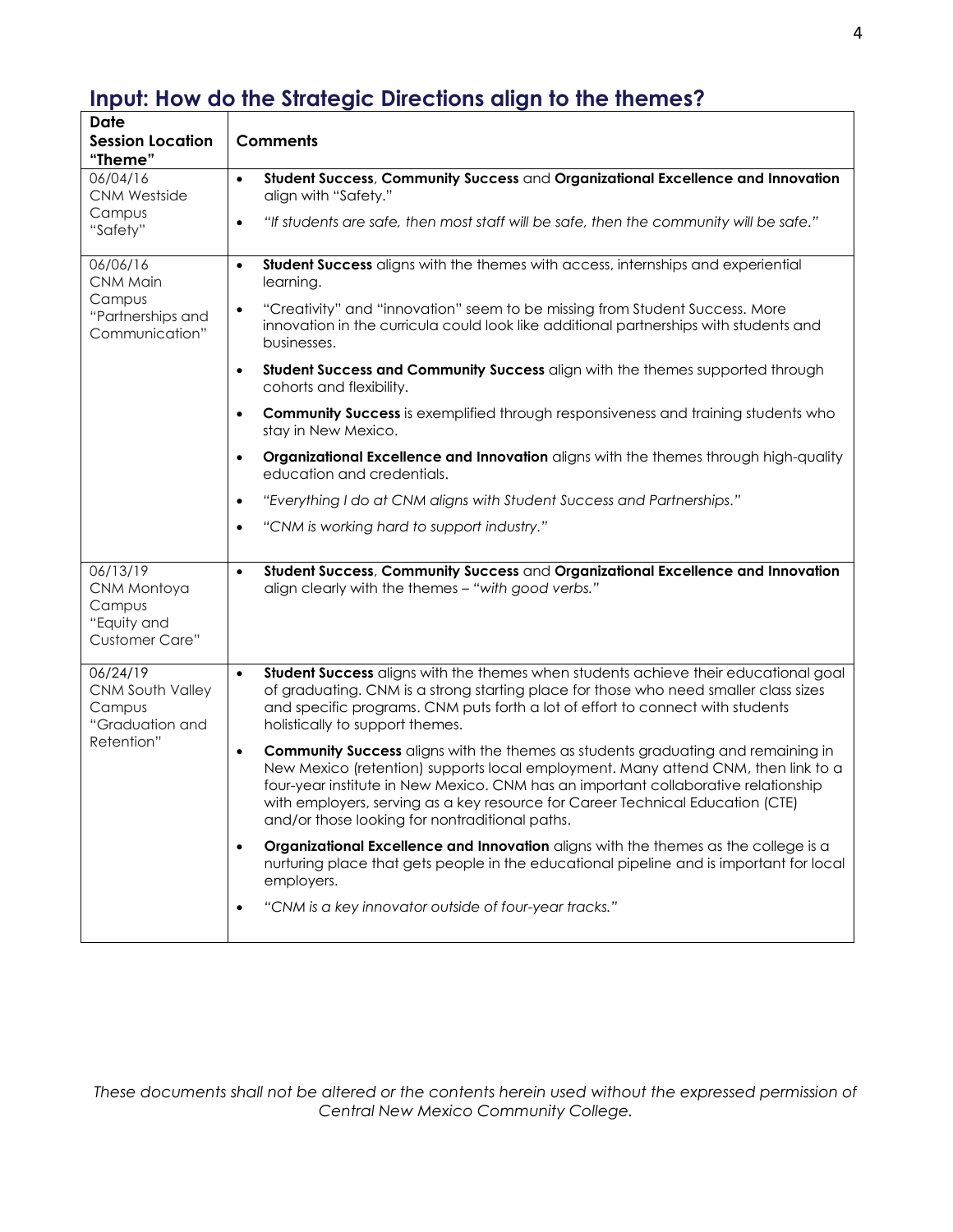| <b>Date</b><br><b>Session Location</b><br>"Theme"                         | <b>Comments</b>                                                                                                                                                                                                                                                                                                                                                                                                     |  |  |  |  |  |
|---------------------------------------------------------------------------|---------------------------------------------------------------------------------------------------------------------------------------------------------------------------------------------------------------------------------------------------------------------------------------------------------------------------------------------------------------------------------------------------------------------|--|--|--|--|--|
| 06/04/16<br><b>CNM Westside</b>                                           | Student Success, Community Success and Organizational Excellence and Innovation<br>$\bullet$<br>align with "Safety."                                                                                                                                                                                                                                                                                                |  |  |  |  |  |
| Campus<br>"Safety"                                                        | "If students are safe, then most staff will be safe, then the community will be safe."<br>$\bullet$                                                                                                                                                                                                                                                                                                                 |  |  |  |  |  |
| 06/06/16<br>CNM Main                                                      | Student Success aligns with the themes with access, internships and experiential<br>$\bullet$<br>learning.                                                                                                                                                                                                                                                                                                          |  |  |  |  |  |
| Campus<br>"Partnerships and<br>Communication"                             | "Creativity" and "innovation" seem to be missing from Student Success. More<br>$\bullet$<br>innovation in the curricula could look like additional partnerships with students and<br>businesses.                                                                                                                                                                                                                    |  |  |  |  |  |
|                                                                           | Student Success and Community Success align with the themes supported through<br>$\bullet$<br>cohorts and flexibility.                                                                                                                                                                                                                                                                                              |  |  |  |  |  |
|                                                                           | <b>Community Success</b> is exemplified through responsiveness and training students who<br>$\bullet$<br>stay in New Mexico.                                                                                                                                                                                                                                                                                        |  |  |  |  |  |
|                                                                           | Organizational Excellence and Innovation aligns with the themes through high-quality<br>$\bullet$<br>education and credentials.                                                                                                                                                                                                                                                                                     |  |  |  |  |  |
|                                                                           | "Everything I do at CNM aligns with Student Success and Partnerships."<br>$\bullet$                                                                                                                                                                                                                                                                                                                                 |  |  |  |  |  |
|                                                                           | "CNM is working hard to support industry."<br>$\bullet$                                                                                                                                                                                                                                                                                                                                                             |  |  |  |  |  |
| 06/13/19<br>CNM Montoya<br>Campus<br>"Equity and<br><b>Customer Care"</b> | Student Success, Community Success and Organizational Excellence and Innovation<br>$\bullet$<br>align clearly with the themes - "with good verbs."                                                                                                                                                                                                                                                                  |  |  |  |  |  |
| 06/24/19<br>CNM South Valley<br>Campus<br>"Graduation and<br>Retention"   | Student Success aligns with the themes when students achieve their educational goal<br>$\bullet$<br>of graduating. CNM is a strong starting place for those who need smaller class sizes<br>and specific programs. CNM puts forth a lot of effort to connect with students<br>holistically to support themes.                                                                                                       |  |  |  |  |  |
|                                                                           | <b>Community Success</b> aligns with the themes as students graduating and remaining in<br>$\bullet$<br>New Mexico (retention) supports local employment. Many attend CNM, then link to a<br>four-year institute in New Mexico. CNM has an important collaborative relationship<br>with employers, serving as a key resource for Career Technical Education (CTE)<br>and/or those looking for nontraditional paths. |  |  |  |  |  |
|                                                                           | Organizational Excellence and Innovation aligns with the themes as the college is a<br>$\bullet$<br>nurturing place that gets people in the educational pipeline and is important for local<br>employers.                                                                                                                                                                                                           |  |  |  |  |  |
|                                                                           | "CNM is a key innovator outside of four-year tracks."                                                                                                                                                                                                                                                                                                                                                               |  |  |  |  |  |

# **Input: How do the Strategic Directions align to the themes?**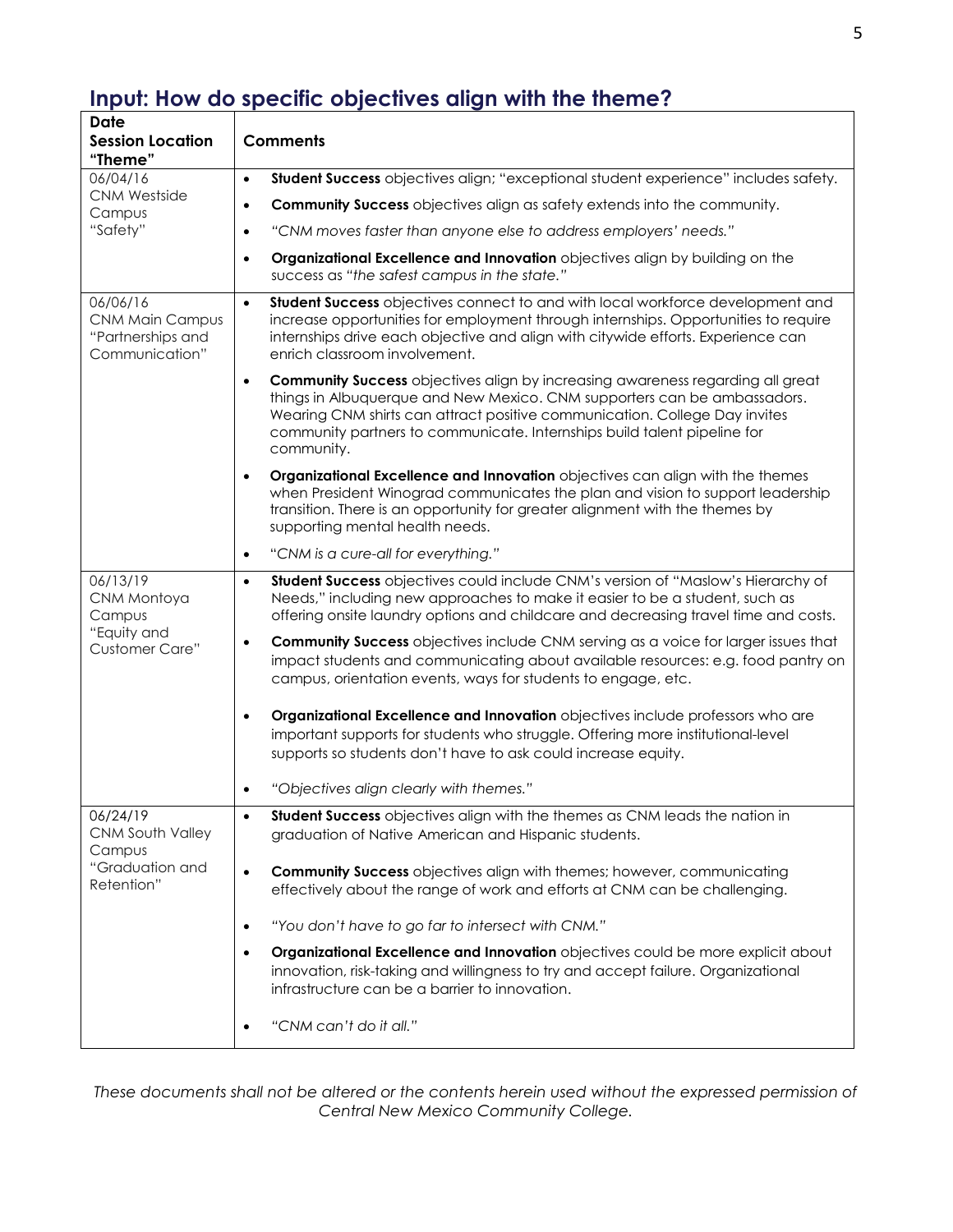### **Input: How do specific objectives align with the theme?**

| Date<br><b>Session Location</b><br>"Theme"                                | <b>Comments</b>                                                                                                                                                                                                                                                                                                                                        |  |  |  |  |
|---------------------------------------------------------------------------|--------------------------------------------------------------------------------------------------------------------------------------------------------------------------------------------------------------------------------------------------------------------------------------------------------------------------------------------------------|--|--|--|--|
| 06/04/16                                                                  | Student Success objectives align; "exceptional student experience" includes safety.<br>$\bullet$                                                                                                                                                                                                                                                       |  |  |  |  |
| <b>CNM Westside</b><br>Campus                                             | <b>Community Success</b> objectives align as safety extends into the community.<br>$\bullet$                                                                                                                                                                                                                                                           |  |  |  |  |
| "Safety"                                                                  | "CNM moves faster than anyone else to address employers' needs."<br>$\bullet$                                                                                                                                                                                                                                                                          |  |  |  |  |
|                                                                           | Organizational Excellence and Innovation objectives align by building on the<br>$\bullet$<br>success as "the safest campus in the state."                                                                                                                                                                                                              |  |  |  |  |
| 06/06/16<br><b>CNM Main Campus</b><br>"Partnerships and<br>Communication" | Student Success objectives connect to and with local workforce development and<br>$\bullet$<br>increase opportunities for employment through internships. Opportunities to require<br>internships drive each objective and align with citywide efforts. Experience can<br>enrich classroom involvement.                                                |  |  |  |  |
|                                                                           | <b>Community Success</b> objectives align by increasing awareness regarding all great<br>$\bullet$<br>things in Albuquerque and New Mexico. CNM supporters can be ambassadors.<br>Wearing CNM shirts can attract positive communication. College Day invites<br>community partners to communicate. Internships build talent pipeline for<br>community. |  |  |  |  |
|                                                                           | Organizational Excellence and Innovation objectives can align with the themes<br>$\bullet$<br>when President Winograd communicates the plan and vision to support leadership<br>transition. There is an opportunity for greater alignment with the themes by<br>supporting mental health needs.                                                        |  |  |  |  |
|                                                                           | "CNM is a cure-all for everything."<br>$\bullet$                                                                                                                                                                                                                                                                                                       |  |  |  |  |
| 06/13/19<br>CNM Montoya<br>Campus<br>"Equity and<br><b>Customer Care"</b> | Student Success objectives could include CNM's version of "Maslow's Hierarchy of<br>$\bullet$<br>Needs," including new approaches to make it easier to be a student, such as<br>offering onsite laundry options and childcare and decreasing travel time and costs.                                                                                    |  |  |  |  |
|                                                                           | <b>Community Success</b> objectives include CNM serving as a voice for larger issues that<br>$\bullet$<br>impact students and communicating about available resources: e.g. food pantry on<br>campus, orientation events, ways for students to engage, etc.                                                                                            |  |  |  |  |
|                                                                           | Organizational Excellence and Innovation objectives include professors who are<br>$\bullet$<br>important supports for students who struggle. Offering more institutional-level<br>supports so students don't have to ask could increase equity.                                                                                                        |  |  |  |  |
|                                                                           | "Objectives align clearly with themes."<br>$\bullet$                                                                                                                                                                                                                                                                                                   |  |  |  |  |
| 06/24/19<br>CNM South Valley<br>Campus<br>"Graduation and<br>Retention"   | Student Success objectives align with the themes as CNM leads the nation in<br>graduation of Native American and Hispanic students.                                                                                                                                                                                                                    |  |  |  |  |
|                                                                           | <b>Community Success</b> objectives align with themes; however, communicating<br>$\bullet$<br>effectively about the range of work and efforts at CNM can be challenging.                                                                                                                                                                               |  |  |  |  |
|                                                                           | "You don't have to go far to intersect with CNM."<br>$\bullet$                                                                                                                                                                                                                                                                                         |  |  |  |  |
|                                                                           | Organizational Excellence and Innovation objectives could be more explicit about<br>$\bullet$<br>innovation, risk-taking and willingness to try and accept failure. Organizational<br>infrastructure can be a barrier to innovation.                                                                                                                   |  |  |  |  |
|                                                                           | "CNM can't do it all."                                                                                                                                                                                                                                                                                                                                 |  |  |  |  |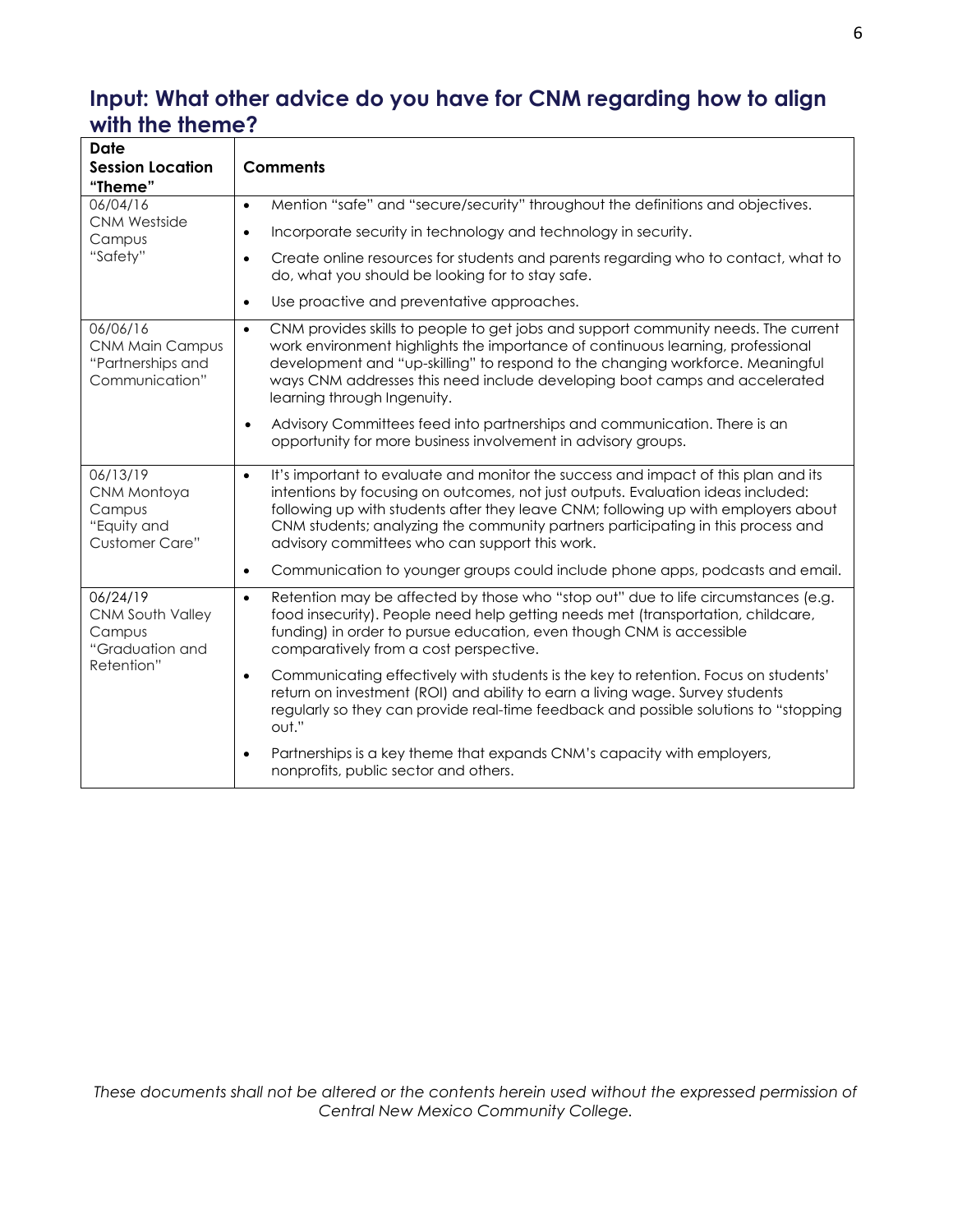# **Input: What other advice do you have for CNM regarding how to align with the theme?**

| <b>Date</b><br><b>Session Location</b><br>"Theme"                         | <b>Comments</b>                                                                                                                                                                                                                                                                                                                                                                                                 |  |  |  |  |  |
|---------------------------------------------------------------------------|-----------------------------------------------------------------------------------------------------------------------------------------------------------------------------------------------------------------------------------------------------------------------------------------------------------------------------------------------------------------------------------------------------------------|--|--|--|--|--|
| 06/04/16                                                                  | Mention "safe" and "secure/security" throughout the definitions and objectives.<br>$\bullet$                                                                                                                                                                                                                                                                                                                    |  |  |  |  |  |
| <b>CNM Westside</b><br>Campus<br>"Safety"                                 | Incorporate security in technology and technology in security.<br>$\bullet$                                                                                                                                                                                                                                                                                                                                     |  |  |  |  |  |
|                                                                           | Create online resources for students and parents regarding who to contact, what to<br>$\bullet$<br>do, what you should be looking for to stay safe.                                                                                                                                                                                                                                                             |  |  |  |  |  |
|                                                                           | Use proactive and preventative approaches.<br>$\bullet$                                                                                                                                                                                                                                                                                                                                                         |  |  |  |  |  |
| 06/06/16<br><b>CNM Main Campus</b><br>"Partnerships and<br>Communication" | CNM provides skills to people to get jobs and support community needs. The current<br>$\bullet$<br>work environment highlights the importance of continuous learning, professional<br>development and "up-skilling" to respond to the changing workforce. Meaningful<br>ways CNM addresses this need include developing boot camps and accelerated<br>learning through Ingenuity.                               |  |  |  |  |  |
|                                                                           | Advisory Committees feed into partnerships and communication. There is an<br>$\bullet$<br>opportunity for more business involvement in advisory groups.                                                                                                                                                                                                                                                         |  |  |  |  |  |
| 06/13/19<br>CNM Montoya<br>Campus<br>"Equity and<br><b>Customer Care"</b> | It's important to evaluate and monitor the success and impact of this plan and its<br>$\bullet$<br>intentions by focusing on outcomes, not just outputs. Evaluation ideas included:<br>following up with students after they leave CNM; following up with employers about<br>CNM students; analyzing the community partners participating in this process and<br>advisory committees who can support this work. |  |  |  |  |  |
|                                                                           | Communication to younger groups could include phone apps, podcasts and email.<br>$\bullet$                                                                                                                                                                                                                                                                                                                      |  |  |  |  |  |
| 06/24/19<br>CNM South Valley<br>Campus<br>"Graduation and<br>Retention"   | Retention may be affected by those who "stop out" due to life circumstances (e.g.<br>$\bullet$<br>food insecurity). People need help getting needs met (transportation, childcare,<br>funding) in order to pursue education, even though CNM is accessible<br>comparatively from a cost perspective.                                                                                                            |  |  |  |  |  |
|                                                                           | Communicating effectively with students is the key to retention. Focus on students'<br>$\bullet$<br>return on investment (ROI) and ability to earn a living wage. Survey students<br>regularly so they can provide real-time feedback and possible solutions to "stopping<br>out."                                                                                                                              |  |  |  |  |  |
|                                                                           | Partnerships is a key theme that expands CNM's capacity with employers,<br>$\bullet$<br>nonprofits, public sector and others.                                                                                                                                                                                                                                                                                   |  |  |  |  |  |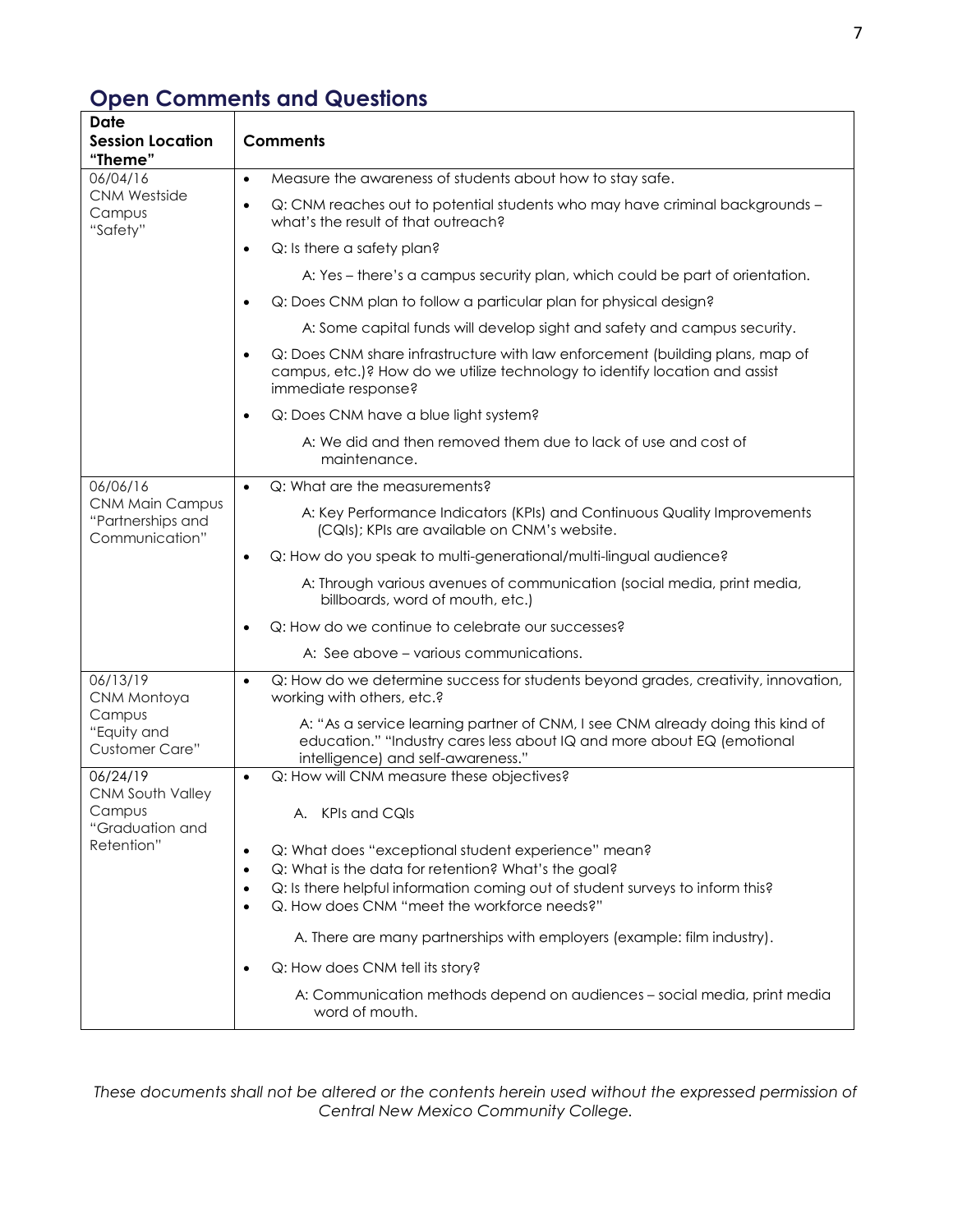# **Open Comments and Questions**

| Date<br><b>Session Location</b><br>"Theme"                                     | <b>Comments</b>                                                                                                                                                                                                                                                                                                                                                                                                                                                                                                                                   |  |  |  |  |  |
|--------------------------------------------------------------------------------|---------------------------------------------------------------------------------------------------------------------------------------------------------------------------------------------------------------------------------------------------------------------------------------------------------------------------------------------------------------------------------------------------------------------------------------------------------------------------------------------------------------------------------------------------|--|--|--|--|--|
| 06/04/16                                                                       | Measure the awareness of students about how to stay safe.<br>$\bullet$                                                                                                                                                                                                                                                                                                                                                                                                                                                                            |  |  |  |  |  |
| <b>CNM Westside</b><br>Campus<br>"Safety"                                      | Q: CNM reaches out to potential students who may have criminal backgrounds -<br>$\bullet$<br>what's the result of that outreach?                                                                                                                                                                                                                                                                                                                                                                                                                  |  |  |  |  |  |
|                                                                                | Q: Is there a safety plan?<br>$\bullet$                                                                                                                                                                                                                                                                                                                                                                                                                                                                                                           |  |  |  |  |  |
|                                                                                | A: Yes – there's a campus security plan, which could be part of orientation.                                                                                                                                                                                                                                                                                                                                                                                                                                                                      |  |  |  |  |  |
|                                                                                | Q: Does CNM plan to follow a particular plan for physical design?                                                                                                                                                                                                                                                                                                                                                                                                                                                                                 |  |  |  |  |  |
|                                                                                | A: Some capital funds will develop sight and safety and campus security.                                                                                                                                                                                                                                                                                                                                                                                                                                                                          |  |  |  |  |  |
|                                                                                | Q: Does CNM share infrastructure with law enforcement (building plans, map of<br>$\bullet$<br>campus, etc.)? How do we utilize technology to identify location and assist<br>immediate response?                                                                                                                                                                                                                                                                                                                                                  |  |  |  |  |  |
|                                                                                | Q: Does CNM have a blue light system?<br>$\bullet$                                                                                                                                                                                                                                                                                                                                                                                                                                                                                                |  |  |  |  |  |
|                                                                                | A: We did and then removed them due to lack of use and cost of<br>maintenance.                                                                                                                                                                                                                                                                                                                                                                                                                                                                    |  |  |  |  |  |
| 06/06/16                                                                       | Q: What are the measurements?<br>$\bullet$                                                                                                                                                                                                                                                                                                                                                                                                                                                                                                        |  |  |  |  |  |
| <b>CNM Main Campus</b><br>"Partnerships and<br>Communication"                  | A: Key Performance Indicators (KPIs) and Continuous Quality Improvements<br>(CQIs); KPIs are available on CNM's website.                                                                                                                                                                                                                                                                                                                                                                                                                          |  |  |  |  |  |
|                                                                                | Q: How do you speak to multi-generational/multi-lingual audience?<br>$\bullet$                                                                                                                                                                                                                                                                                                                                                                                                                                                                    |  |  |  |  |  |
|                                                                                | A: Through various avenues of communication (social media, print media,<br>billboards, word of mouth, etc.)                                                                                                                                                                                                                                                                                                                                                                                                                                       |  |  |  |  |  |
|                                                                                | Q: How do we continue to celebrate our successes?<br>$\bullet$                                                                                                                                                                                                                                                                                                                                                                                                                                                                                    |  |  |  |  |  |
|                                                                                | A: See above – various communications.                                                                                                                                                                                                                                                                                                                                                                                                                                                                                                            |  |  |  |  |  |
| 06/13/19<br>CNM Montoya<br>Campus<br>"Equity and<br><b>Customer Care"</b>      | Q: How do we determine success for students beyond grades, creativity, innovation,<br>$\bullet$<br>working with others, etc.?                                                                                                                                                                                                                                                                                                                                                                                                                     |  |  |  |  |  |
|                                                                                | A: "As a service learning partner of CNM, I see CNM already doing this kind of<br>education." "Industry cares less about IQ and more about EQ (emotional<br>intelligence) and self-awareness."                                                                                                                                                                                                                                                                                                                                                    |  |  |  |  |  |
| 06/24/19<br><b>CNM South Valley</b><br>Campus<br>"Graduation and<br>Retention" | Q: How will CNM measure these objectives?<br>$\bullet$<br>A. KPIs and CQIs<br>Q: What does "exceptional student experience" mean?<br>Q: What is the data for retention? What's the goal?<br>Q: Is there helpful information coming out of student surveys to inform this?<br>Q. How does CNM "meet the workforce needs?"<br>$\bullet$<br>A. There are many partnerships with employers (example: film industry).<br>Q: How does CNM tell its story?<br>A: Communication methods depend on audiences - social media, print media<br>word of mouth. |  |  |  |  |  |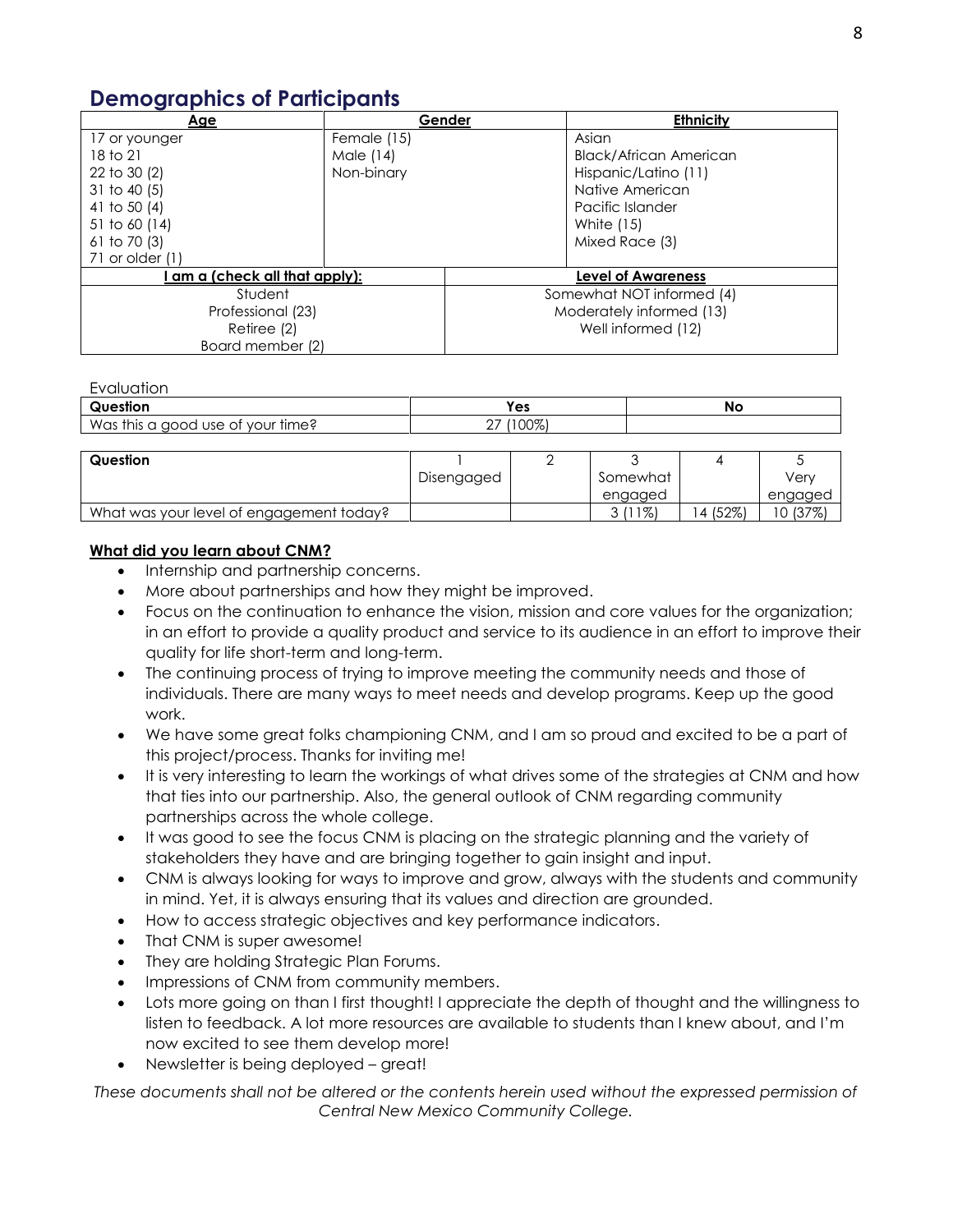#### **Demographics of Participants**

| Age                          | Gender      |                           | <b>Ethnicity</b>              |  |
|------------------------------|-------------|---------------------------|-------------------------------|--|
| 17 or younger                | Female (15) |                           | Asian                         |  |
| 18 to 21                     | Male (14)   |                           | <b>Black/African American</b> |  |
| 22 to 30 (2)                 | Non-binary  |                           | Hispanic/Latino (11)          |  |
| $31$ to 40 (5)               |             |                           | Native American               |  |
| 41 to 50 $(4)$               |             |                           | Pacific Islander              |  |
| 51 to 60 (14)                |             |                           | White (15)                    |  |
| 61 to 70 $(3)$               |             |                           | Mixed Race (3)                |  |
| 71 or older (1)              |             |                           |                               |  |
| am a (check all that apply): |             | <b>Level of Awareness</b> |                               |  |
| Student                      |             | Somewhat NOT informed (4) |                               |  |
| Professional (23)            |             | Moderately informed (13)  |                               |  |
| Retiree (2)                  |             | Well informed (12)        |                               |  |
| Board member (2)             |             |                           |                               |  |

#### Evaluation

| $\cap$ uestion                          | Yes                         | No |
|-----------------------------------------|-----------------------------|----|
| Was this<br>of your time?<br>a good use | $(100\%)$<br>^7<br><u>.</u> |    |
|                                         |                             |    |

| Question                                 |            |          |                         |          |
|------------------------------------------|------------|----------|-------------------------|----------|
|                                          | Disengaged | Somewhat |                         | Verv     |
|                                          |            | engaged  |                         | engaged  |
| What was your level of engagement today? |            | $1\%$    | (52%)<br>$\overline{4}$ | $(37\%)$ |

#### **What did you learn about CNM?**

- Internship and partnership concerns.
- More about partnerships and how they might be improved.
- Focus on the continuation to enhance the vision, mission and core values for the organization; in an effort to provide a quality product and service to its audience in an effort to improve their quality for life short-term and long-term.
- The continuing process of trying to improve meeting the community needs and those of individuals. There are many ways to meet needs and develop programs. Keep up the good work.
- We have some great folks championing CNM, and I am so proud and excited to be a part of this project/process. Thanks for inviting me!
- It is very interesting to learn the workings of what drives some of the strategies at CNM and how that ties into our partnership. Also, the general outlook of CNM regarding community partnerships across the whole college.
- It was good to see the focus CNM is placing on the strategic planning and the variety of stakeholders they have and are bringing together to gain insight and input.
- CNM is always looking for ways to improve and grow, always with the students and community in mind. Yet, it is always ensuring that its values and direction are grounded.
- How to access strategic objectives and key performance indicators.
- That CNM is super awesome!
- They are holding Strategic Plan Forums.
- Impressions of CNM from community members.
- Lots more going on than I first thought! I appreciate the depth of thought and the willingness to listen to feedback. A lot more resources are available to students than I knew about, and I'm now excited to see them develop more!
- Newsletter is being deployed great!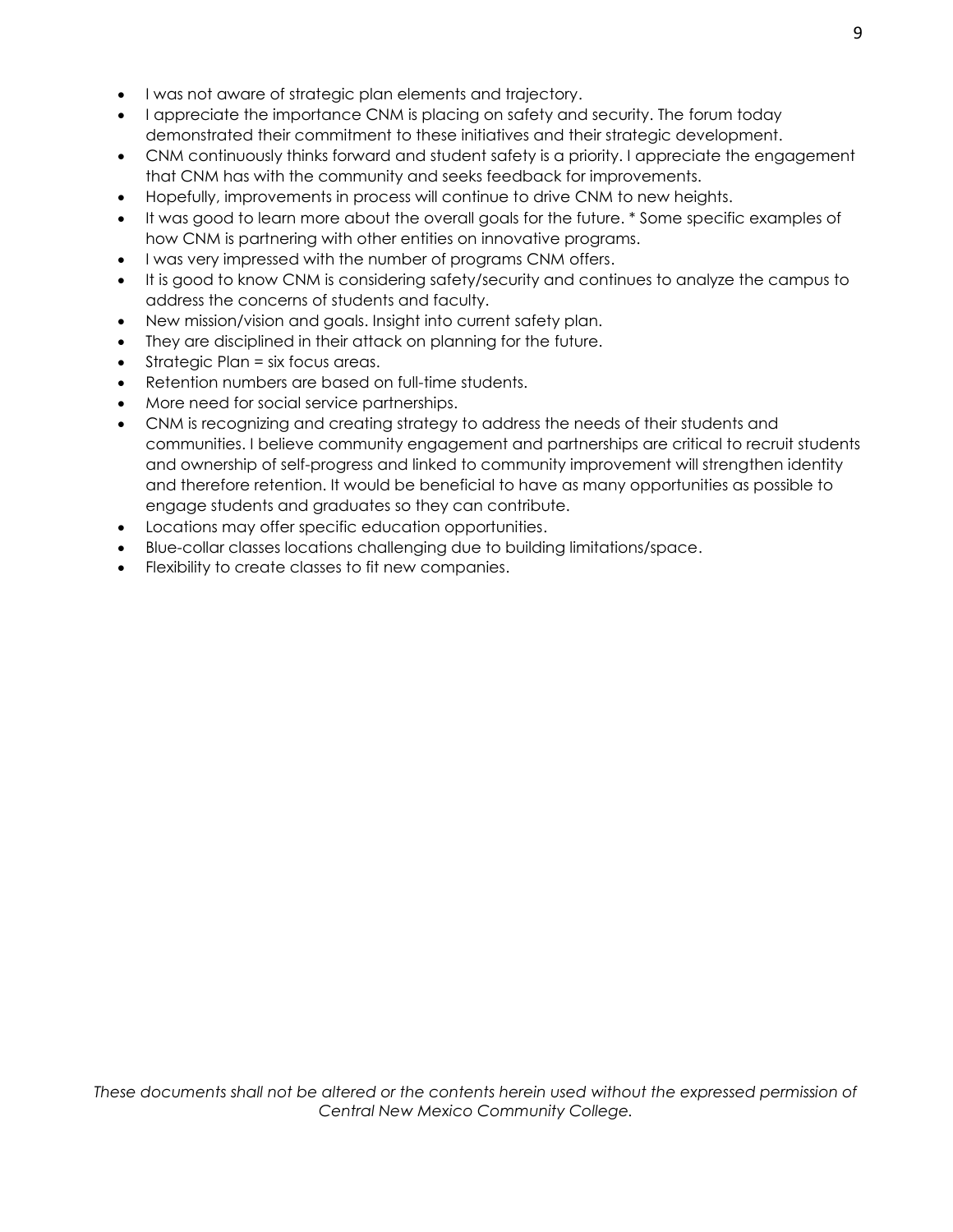- I was not aware of strategic plan elements and trajectory.
- I appreciate the importance CNM is placing on safety and security. The forum today demonstrated their commitment to these initiatives and their strategic development.
- CNM continuously thinks forward and student safety is a priority. I appreciate the engagement that CNM has with the community and seeks feedback for improvements.
- Hopefully, improvements in process will continue to drive CNM to new heights.
- It was good to learn more about the overall goals for the future. \* Some specific examples of how CNM is partnering with other entities on innovative programs.
- I was very impressed with the number of programs CNM offers.
- It is good to know CNM is considering safety/security and continues to analyze the campus to address the concerns of students and faculty.
- New mission/vision and goals. Insight into current safety plan.
- They are disciplined in their attack on planning for the future.
- Strategic Plan = six focus areas.
- Retention numbers are based on full-time students.
- More need for social service partnerships.
- CNM is recognizing and creating strategy to address the needs of their students and communities. I believe community engagement and partnerships are critical to recruit students and ownership of self-progress and linked to community improvement will strengthen identity and therefore retention. It would be beneficial to have as many opportunities as possible to engage students and graduates so they can contribute.
- Locations may offer specific education opportunities.
- Blue-collar classes locations challenging due to building limitations/space.
- Flexibility to create classes to fit new companies.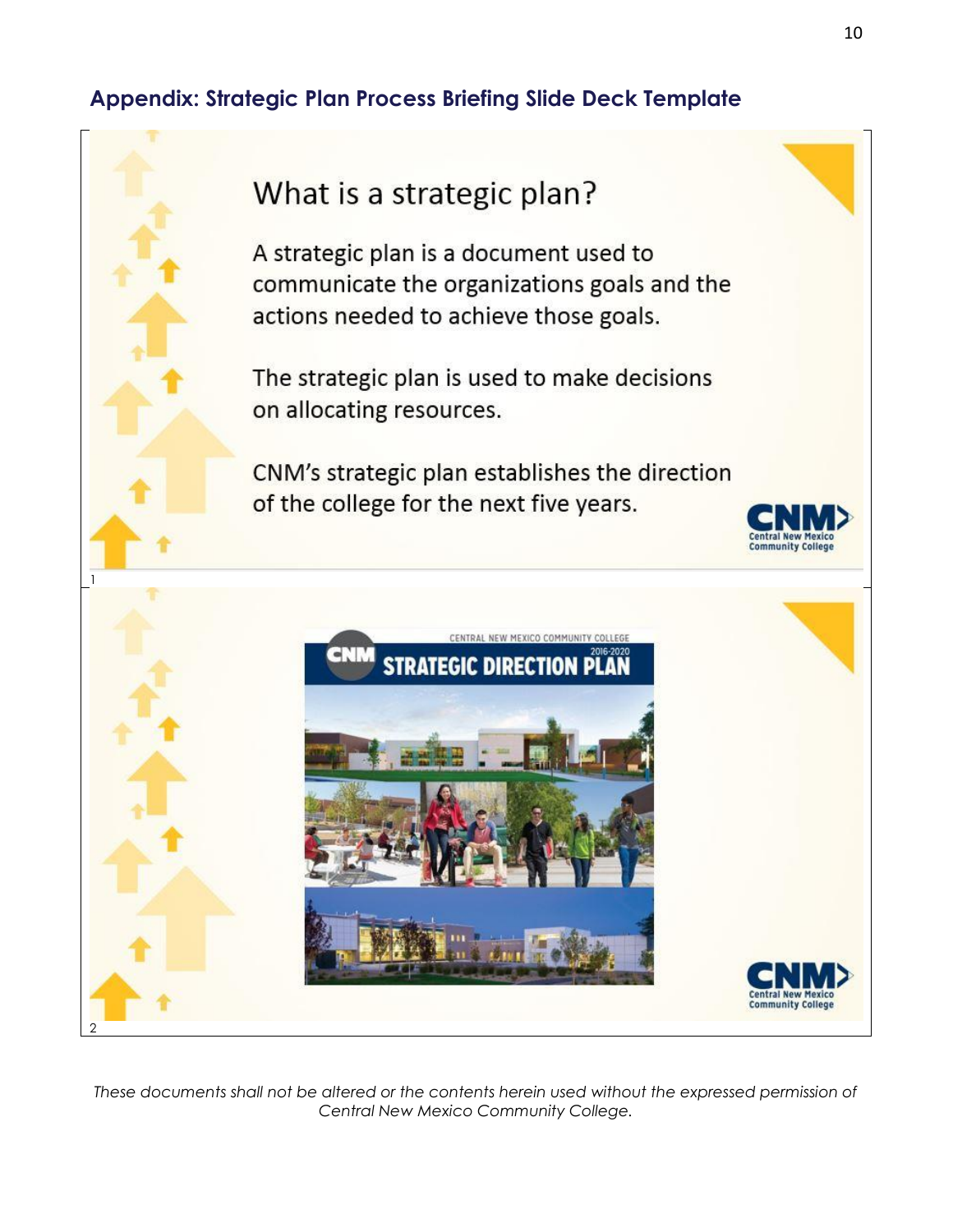### **Appendix: Strategic Plan Process Briefing Slide Deck Template**



A strategic plan is a document used to communicate the organizations goals and the actions needed to achieve those goals.

The strategic plan is used to make decisions on allocating resources.

CNM's strategic plan establishes the direction of the college for the next five years.



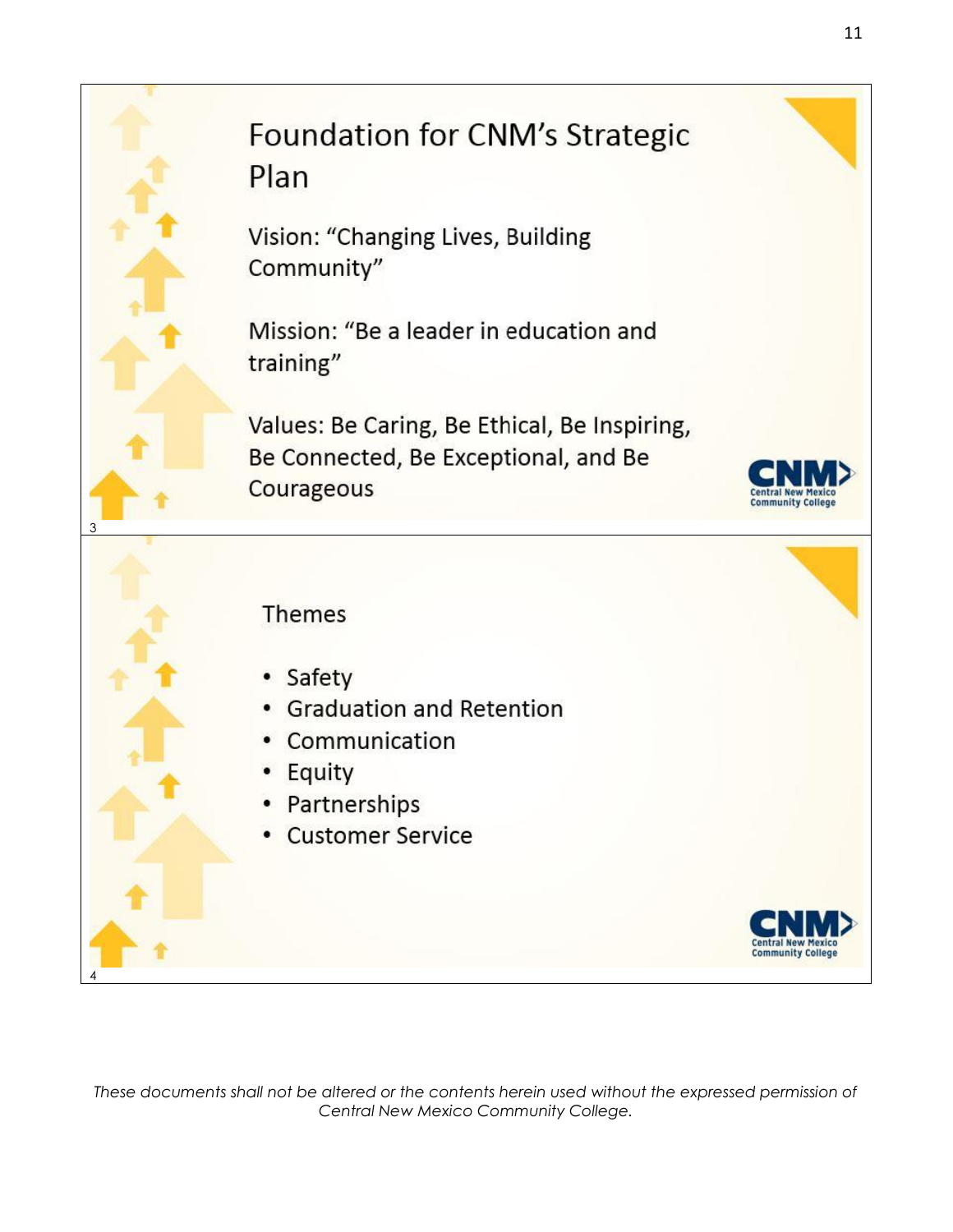# Foundation for CNM's Strategic Plan

Vision: "Changing Lives, Building Community"

Mission: "Be a leader in education and training"

Values: Be Caring, Be Ethical, Be Inspiring, Be Connected, Be Exceptional, and Be Courageous



Central I **Community College** 

#### Themes

3

4

- Safety
- Graduation and Retention
- Communication
- Equity
- Partnerships
- **Customer Service**